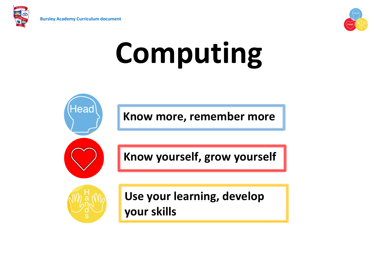

Head



# **Computing**

**Know more, remember more**



**Know yourself, grow yourself**



**Use your learning, develop your skills**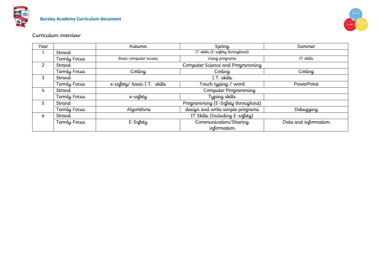



# Curriculum overview

| Year |              | Autumn                          | Spring                            | Summer               |  |  |
|------|--------------|---------------------------------|-----------------------------------|----------------------|--|--|
|      | Strand       | IT skills (E-safety throughout) |                                   |                      |  |  |
|      | Termly Focus | Basic computer access           | Using programs                    | IT skills            |  |  |
| 2    | Strand       |                                 | Computer Science and Programming  |                      |  |  |
|      | Termly Focus | Coding                          | Coding                            | Coding               |  |  |
| 3    | Strand       |                                 | I.T. skills                       |                      |  |  |
|      | Termly Focus | e-safety/ basic I.T. skills     | Touch typing / word               | PowerPoint           |  |  |
| 4    | Strand       | Computer Programming            |                                   |                      |  |  |
|      | Termly Focus | e-safety                        | Typing skills                     |                      |  |  |
| 5    | Strand       |                                 | Programming (E-Safety throughout) |                      |  |  |
|      | Termly Focus | Algorithms                      | design and write simple programs  | Debugging            |  |  |
| 6    | Strand       | IT Skills (Including E-safety)  |                                   |                      |  |  |
|      | Termly Focus | E-Safety                        | Communication/Sharing             | Data and information |  |  |
|      |              |                                 | information                       |                      |  |  |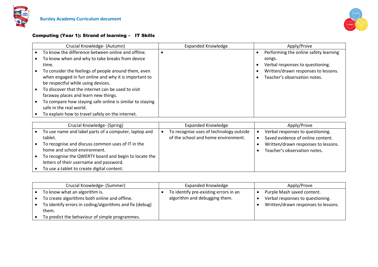



#### Computing (Year 1): Strand of learning – IT Skills

| Crucial Knowledge- (Autumn)                              | <b>Expanded Knowledge</b> | Apply/Prove                           |
|----------------------------------------------------------|---------------------------|---------------------------------------|
| To know the difference between online and offline.       |                           | Performing the online safety learning |
| To know when and why to take breaks from device          |                           | songs.                                |
| time.                                                    |                           | Verbal responses to questioning.      |
| To consider the feelings of people around them, even     |                           | Written/drawn responses to lessons.   |
| when engaged in fun online and why it is important to    |                           | Teacher's observation notes.          |
| be respectful while using devices.                       |                           |                                       |
| To discover that the internet can be used to visit       |                           |                                       |
| faraway places and learn new things.                     |                           |                                       |
| To compare how staying safe online is similar to staying |                           |                                       |
| safe in the real world.                                  |                           |                                       |
| To explain how to travel safely on the internet.         |                           |                                       |

| Crucial Knowledge- (Spring) |                                                                                                  | <b>Expanded Knowledge</b> |                                                                                | Apply/Prove |                                                                       |
|-----------------------------|--------------------------------------------------------------------------------------------------|---------------------------|--------------------------------------------------------------------------------|-------------|-----------------------------------------------------------------------|
|                             | To use name and label parts of a computer, laptop and<br>tablet.                                 |                           | To recognise uses of technology outside<br>of the school and home environment. |             | Verbal responses to questioning.<br>Saved evidence of online content. |
|                             | To recognise and discuss common uses of IT in the<br>home and school environment.                |                           |                                                                                |             | Written/drawn responses to lessons.<br>Teacher's observation notes.   |
|                             | To recognise the QWERTY board and begin to locate the<br>letters of their username and password. |                           |                                                                                |             |                                                                       |
|                             | To use a tablet to create digital content.                                                       |                           |                                                                                |             |                                                                       |

| Crucial Knowledge- (Summer) |                                                         | <b>Expanded Knowledge</b> |                                       | Apply/Prove |                                     |
|-----------------------------|---------------------------------------------------------|---------------------------|---------------------------------------|-------------|-------------------------------------|
|                             | To know what an algorithm is.                           |                           | To identify pre-existing errors in an |             | Purple Mash saved content.          |
|                             | To create algorithms both online and offline.           |                           | algorithm and debugging them.         |             | Verbal responses to questioning.    |
|                             | To identify errors in coding/algorithms and fix (debug) |                           |                                       |             | Written/drawn responses to lessons. |
|                             | them.                                                   |                           |                                       |             |                                     |
|                             | To predict the behaviour of simple programmes.          |                           |                                       |             |                                     |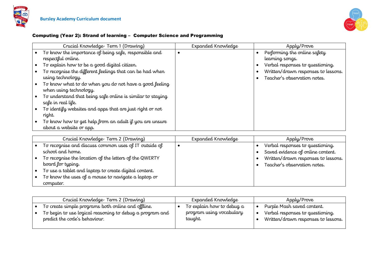



### Computing (Year 2): Strand of learning – Computer Science and Programming

| Crucial Knowledge-Term 1 (Drawing)                         | Expanded Knowledge | Apply/Prove                         |
|------------------------------------------------------------|--------------------|-------------------------------------|
| To know the importance of being safe, responsible and      |                    | Performing the online safety        |
| respectful online.                                         |                    | learning songs.                     |
| To explain how to be a good digital citizen.               |                    | Verbal responses to questioning.    |
| To recognise the different feelings that can be had when   |                    | Written/drawn responses to lessons. |
| using technology.                                          |                    | Teacher's observation notes.        |
| To know what to do when you do not have a good feeling     |                    |                                     |
| when using technology.                                     |                    |                                     |
| To understand that being safe online is similar to staying |                    |                                     |
| safe in real life.                                         |                    |                                     |
| To identify websites and apps that are just right or not   |                    |                                     |
| right.                                                     |                    |                                     |
| To know how to get help from an adult if you are unsure    |                    |                                     |
| about a website or app.                                    |                    |                                     |

| Crucial Knowledge-Term 2 (Drawing)                     | Expanded Knowledge | Apply/Prove                         |
|--------------------------------------------------------|--------------------|-------------------------------------|
| To recognise and discuss common uses of IT outside of  |                    | Verbal responses to questioning.    |
| school and home.                                       |                    | Saved evidence of online content.   |
| To recognise the location of the letters of the QWERTY |                    | Written/drawn responses to lessons. |
| board for typing.                                      |                    | Teacher's observation notes.        |
| To use a tablet and laptop to create digital content.  |                    |                                     |
| To know the uses of a mouse to navigate a laptop or    |                    |                                     |
| computer.                                              |                    |                                     |

| Crucial Knowledge-Term 2 (Drawing)                                                        | Expanded Knowledge                  | Apply/Prove                                                             |
|-------------------------------------------------------------------------------------------|-------------------------------------|-------------------------------------------------------------------------|
| To create simple programs both online and offline.                                        | To explain how to debug a           | Purple Mash saved content.                                              |
| To begin to use logical reasoning to debug a program and<br>predict the code's behaviour. | program using vocabulary<br>taught. | Verbal responses to questioning.<br>Written/drawn responses to lessons. |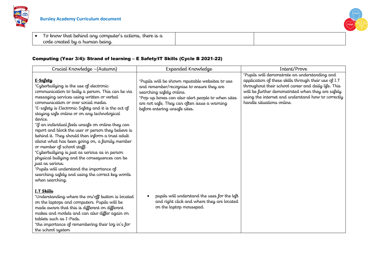

 $\bullet$  To know that behind any computer's actions, there is a code created by a human being.



| Crucial Knowledge - (Autumn)                                                                                                                                                                                                                                                                                                                                                                                                                                                                                                                                                                                                                                                                                                                                                                            | Expanded Knowledge                                                                                                                                                                                                                                             | Intent/Prove                                                                                                                                                                                                                                                                                         |
|---------------------------------------------------------------------------------------------------------------------------------------------------------------------------------------------------------------------------------------------------------------------------------------------------------------------------------------------------------------------------------------------------------------------------------------------------------------------------------------------------------------------------------------------------------------------------------------------------------------------------------------------------------------------------------------------------------------------------------------------------------------------------------------------------------|----------------------------------------------------------------------------------------------------------------------------------------------------------------------------------------------------------------------------------------------------------------|------------------------------------------------------------------------------------------------------------------------------------------------------------------------------------------------------------------------------------------------------------------------------------------------------|
| E-Safety<br>*Cyberbullying is the use of electronic<br>communication to bully a person. This can be via<br>messaging services using written or verbal<br>communication or over social media.<br>*E-safety is Electronic Safety and it is the act of<br>staying safe online or on any technological<br>device.<br>*If an individual feels unsafe on online they can<br>report and block the user or person they believe is<br>behind it. They should then inform a trust adult<br>about what has been going on, a family member<br>or member of school staff.<br>*Cyberbullying is just as serious as in person<br>physical bullying and the consequences can be<br>just as serious.<br>*Pupils will understand the importance of<br>searching safely and using the correct key words<br>when searching. | *Pupils will be shown reputable websites to use<br>and remember/recognise to ensure they are<br>searching safely online.<br>*Pop-up boxes can also alert people to when sites<br>are not safe. They can often issue a warning<br>before entering unsafe sites. | *Pupils will demonstrate an understanding and<br>application of these skills through their use of I.T<br>throughout their school career and daily life. This<br>will be further demonstrated when they are safely<br>using the internet and understand how to correctly<br>handle situations online. |
| I.T Skills<br>*Understanding where the on/off button is located<br>on the laptops and computers. Pupils will be<br>made aware that this is different on different<br>makes and models and can also differ again on<br>tablets such as I-Pads.<br>*the importance of remembering their log in's for<br>the school system                                                                                                                                                                                                                                                                                                                                                                                                                                                                                 | pupils will understand the uses for the left<br>and right click and where they are located<br>on the laptop mousepad.                                                                                                                                          |                                                                                                                                                                                                                                                                                                      |

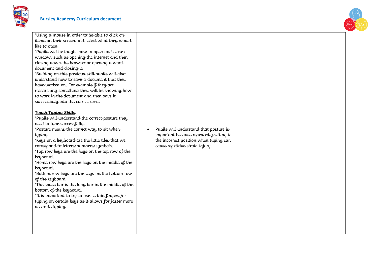



\*Using a mouse in order to be able to click on items on their screen and select what they would like to open.

\*Pupils will be taught how to open and close a window, such as opening the internet and then closing down the browser or opening a word document and closing it.

\*Building on this previous skill pupils will also understand how to save a document that they have worked on. For example if they are researching something they will be showing how to work in the document and then save it successfully into the correct area.

#### **Touch Typing Skills**

\*Pupils will understand the correct posture they need to type successfully.

\*Posture means the correct way to sit when typing.

\*Keys on a keyboard are the little tiles that we correspond to letters/numbers/symbols.

\*Top row keys are the keys on the top row of the keyboard.

\*Home row keys are the keys on the middle of the keyboard.

\*Bottom row keys are the keys on the bottom row of the keyboard.

\*The space bar is the long bar in the middle of the bottom of the keyboard.

\*It is important to try to use certain fingers for typing on certain keys as it allows for faster more accurate typing.

 Pupils will understand that posture is important because repeatedly sitting in the incorrect position when typing can cause repetitive strain injury.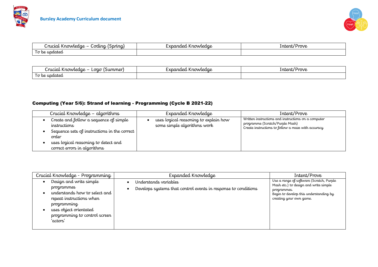



| -----<br>. uruul k<br>rwledae<br>ordina J<br>$\overline{\phantom{0}}$<br>w | nded Knowledae<br>. | rove<br>untent/ |
|----------------------------------------------------------------------------|---------------------|-----------------|
| updated /<br>lσ                                                            |                     |                 |

| rucial Knowledae –<br>(Summer<br>Loao     | -xpanded Knowledae | Intent/<br>rove |
|-------------------------------------------|--------------------|-----------------|
| $\overline{\phantom{a}}$<br>updated<br>be |                    |                 |

# Computing (Year 5/6): Strand of learning - Programming (Cycle B 2021-22)

| Crucial Knowledge - algorithms                                                                                                                                                          | Expanded Knowledge                                                   | Intent/Prove                                                                                                                                 |  |  |
|-----------------------------------------------------------------------------------------------------------------------------------------------------------------------------------------|----------------------------------------------------------------------|----------------------------------------------------------------------------------------------------------------------------------------------|--|--|
| Create and follow a sequence of simple<br>instructions<br>Sequence sets of instructions in the correct<br>order<br>uses logical reasoning to detect and<br>correct errors in algorithms | uses logical reasoning to explain how<br>some simple algorithms work | Written instructions and instructions on a computer<br>programme (Scratch/Purple Mash)<br>Create instructions to follow a maze with accuracy |  |  |

| Crucial Knowledge - Programming                                                                                                                                                          | Expanded Knowledge                                                                      | Intent/Prove                                                                                                                                                          |
|------------------------------------------------------------------------------------------------------------------------------------------------------------------------------------------|-----------------------------------------------------------------------------------------|-----------------------------------------------------------------------------------------------------------------------------------------------------------------------|
| Design and write simple<br>programmes<br>understands how to select and<br>repeat instructions when<br>programming<br>uses object orientated<br>programming to control screen<br>'actors' | Understands variables<br>Develops systems that control events in response to conditions | Use a range of software (Scratch, Purple<br>Mash etc.) to design and write simple<br>programmes.<br>Begin to develop this understanding by<br>creating your own game. |